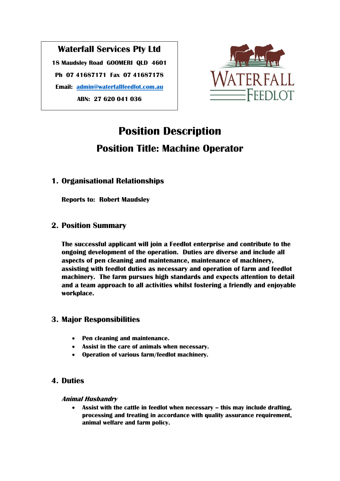## **Waterfall Services Pty Ltd 18 Maudsley Road GOOMERI QLD 4601 Ph 07 41687171 Fax 07 41687178 Email: [admin@waterfallfeedlot.com.au](mailto:admin@waterfallfeedlot.com.au) ABN: 27 620 041 036**



# **Position Description Position Title: Machine Operator**

## **1. Organisational Relationships**

**Reports to: Robert Maudsley**

## **2. Position Summary**

**The successful applicant will join a Feedlot enterprise and contribute to the ongoing development of the operation. Duties are diverse and include all aspects of pen cleaning and maintenance, maintenance of machinery, assisting with feedlot duties as necessary and operation of farm and feedlot machinery. The farm pursues high standards and expects attention to detail and a team approach to all activities whilst fostering a friendly and enjoyable workplace.**

## **3. Major Responsibilities**

- **Pen cleaning and maintenance.**
- **Assist in the care of animals when necessary.**
- **Operation of various farm/feedlot machinery.**

## **4. Duties**

## **Animal Husbandry**

• Assist with the cattle in feedlot when necessary – this may include drafting, **processing and treating in accordance with quality assurance requirement, animal welfare and farm policy.**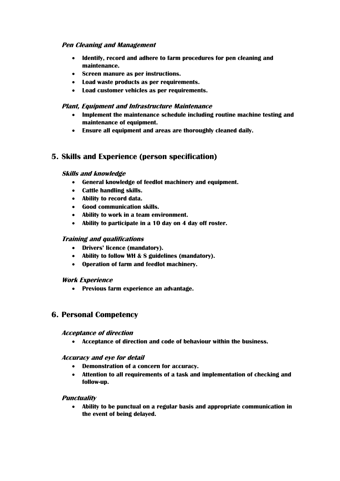#### **Pen Cleaning and Management**

- **Identify, record and adhere to farm procedures for pen cleaning and maintenance.**
- **Screen manure as per instructions.**
- **Load waste products as per requirements.**
- **Load customer vehicles as per requirements.**

#### **Plant, Equipment and Infrastructure Maintenance**

- **Implement the maintenance schedule including routine machine testing and maintenance of equipment.**
- **Ensure all equipment and areas are thoroughly cleaned daily.**

## **5. Skills and Experience (person specification)**

#### **Skills and knowledge**

- **General knowledge of feedlot machinery and equipment.**
- **Cattle handling skills.**
- **Ability to record data.**
- **Good communication skills.**
- **Ability to work in a team environment.**
- **Ability to participate in a 10 day on 4 day off roster.**

#### **Training and qualifications**

- **Drivers' licence (mandatory).**
- **Ability to follow WH & S guidelines (mandatory).**
- **Operation of farm and feedlot machinery.**

#### **Work Experience**

• **Previous farm experience an advantage.**

## **6. Personal Competency**

#### **Acceptance of direction**

• **Acceptance of direction and code of behaviour within the business.**

#### **Accuracy and eye for detail**

- **Demonstration of a concern for accuracy.**
- **Attention to all requirements of a task and implementation of checking and follow-up.**

#### **Punctuality**

• **Ability to be punctual on a regular basis and appropriate communication in the event of being delayed.**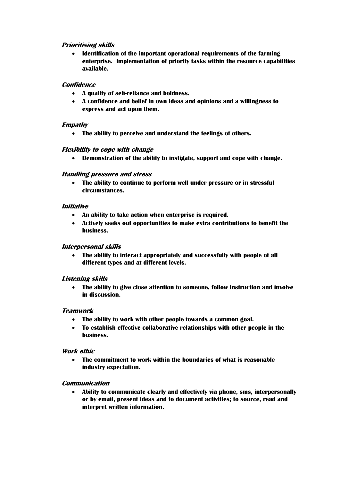#### **Prioritising skills**

• **Identification of the important operational requirements of the farming enterprise. Implementation of priority tasks within the resource capabilities available.**

#### **Confidence**

- **A quality of self-reliance and boldness.**
- **A confidence and belief in own ideas and opinions and a willingness to express and act upon them.**

#### **Empathy**

• **The ability to perceive and understand the feelings of others.**

#### **Flexibility to cope with change**

• **Demonstration of the ability to instigate, support and cope with change.**

#### **Handling pressure and stress**

• **The ability to continue to perform well under pressure or in stressful circumstances.**

#### **Initiative**

- **An ability to take action when enterprise is required.**
- **Actively seeks out opportunities to make extra contributions to benefit the business.**

#### **Interpersonal skills**

• **The ability to interact appropriately and successfully with people of all different types and at different levels.**

#### **Listening skills**

• **The ability to give close attention to someone, follow instruction and involve in discussion.**

#### **Teamwork**

- **The ability to work with other people towards a common goal.**
- **To establish effective collaborative relationships with other people in the business.**

#### **Work ethic**

• **The commitment to work within the boundaries of what is reasonable industry expectation.**

#### **Communication**

• **Ability to communicate clearly and effectively via phone, sms, interpersonally or by email, present ideas and to document activities; to source, read and interpret written information.**